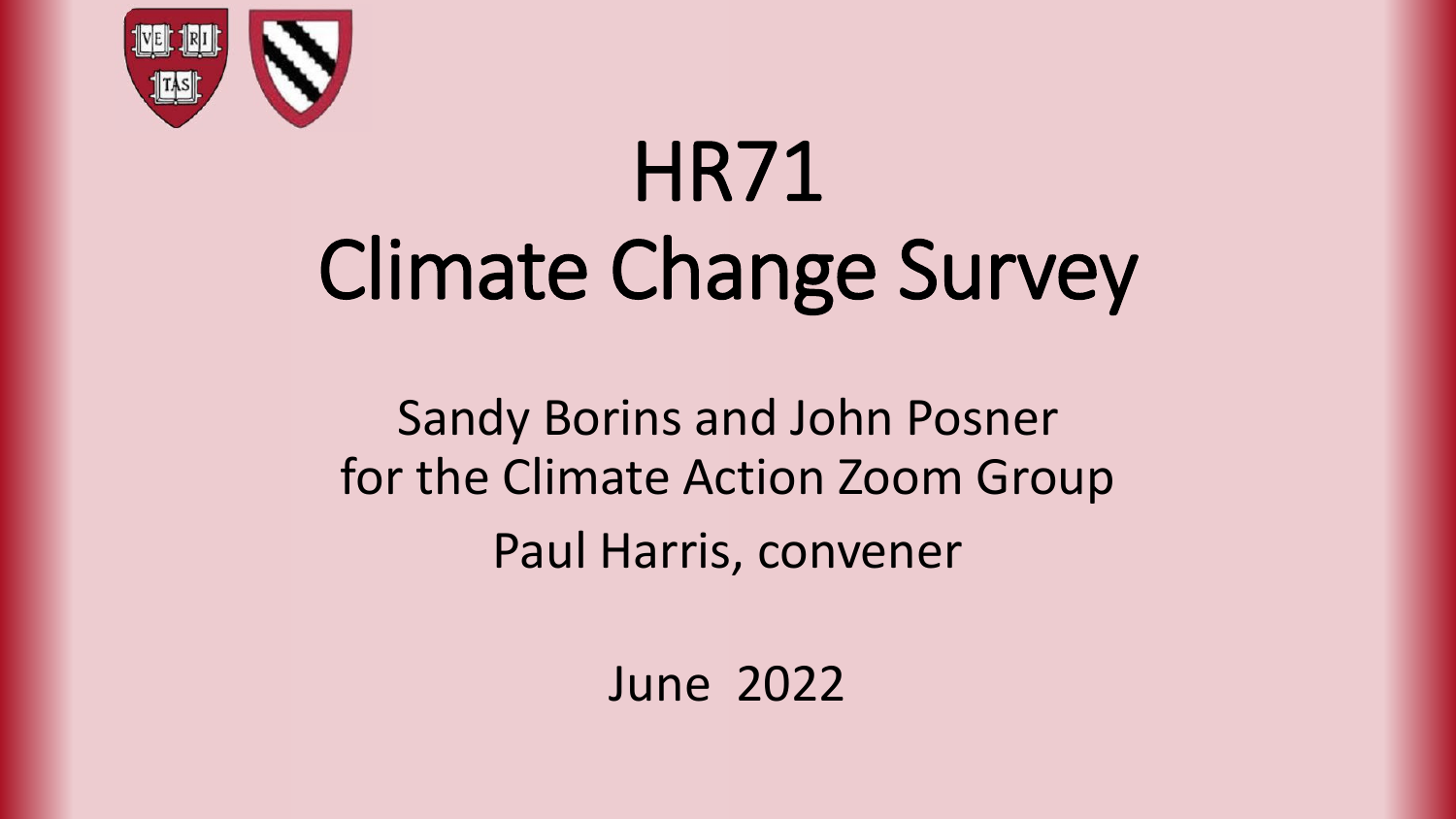

# HR71 Climate Change Survey

Sandy Borins and John Posner for the Climate Action Zoom Group Paul Harris, convener

June 2022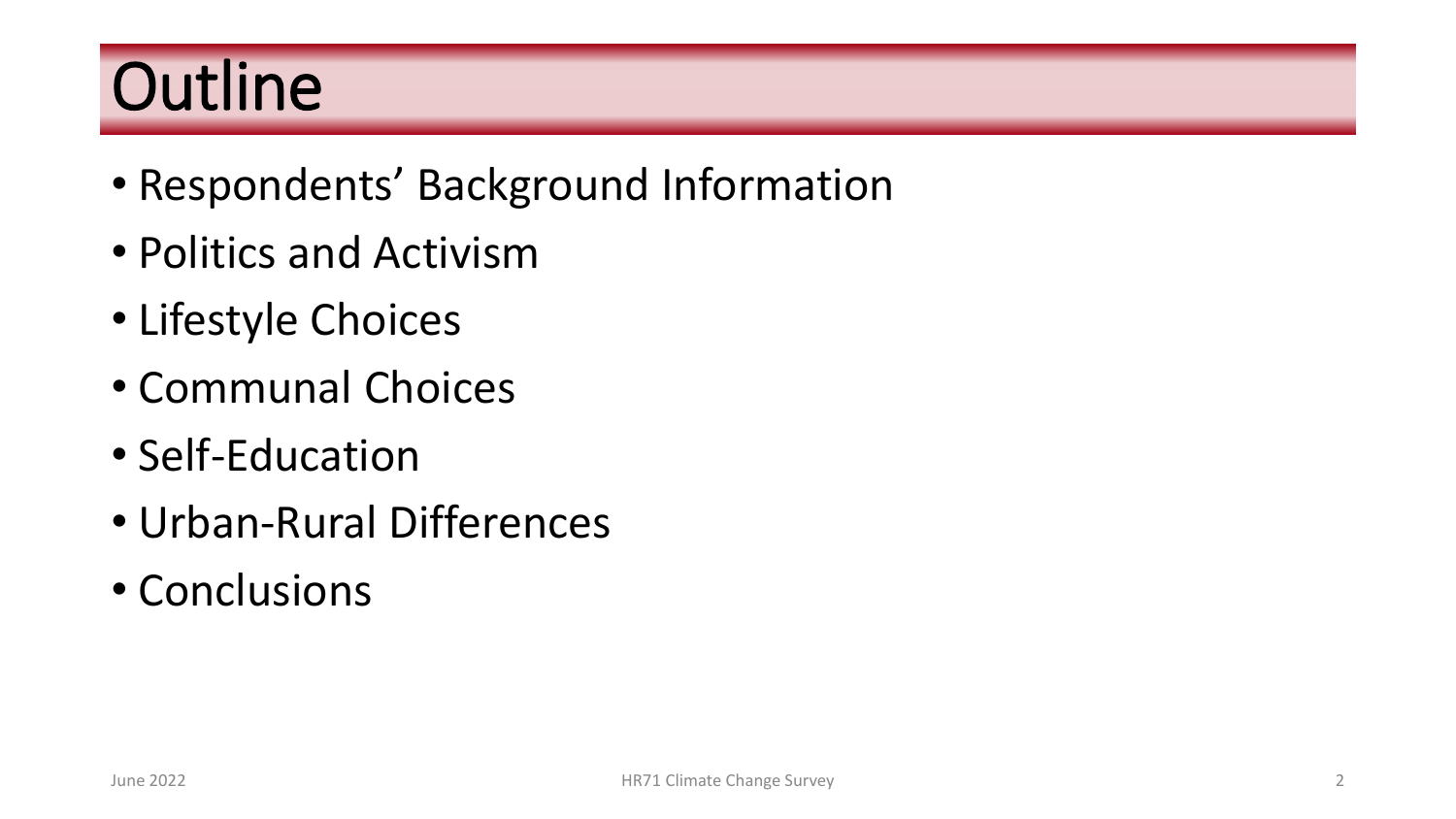# **Outline**

- Respondents' Background Information
- Politics and Activism
- Lifestyle Choices
- Communal Choices
- Self-Education
- Urban-Rural Differences
- Conclusions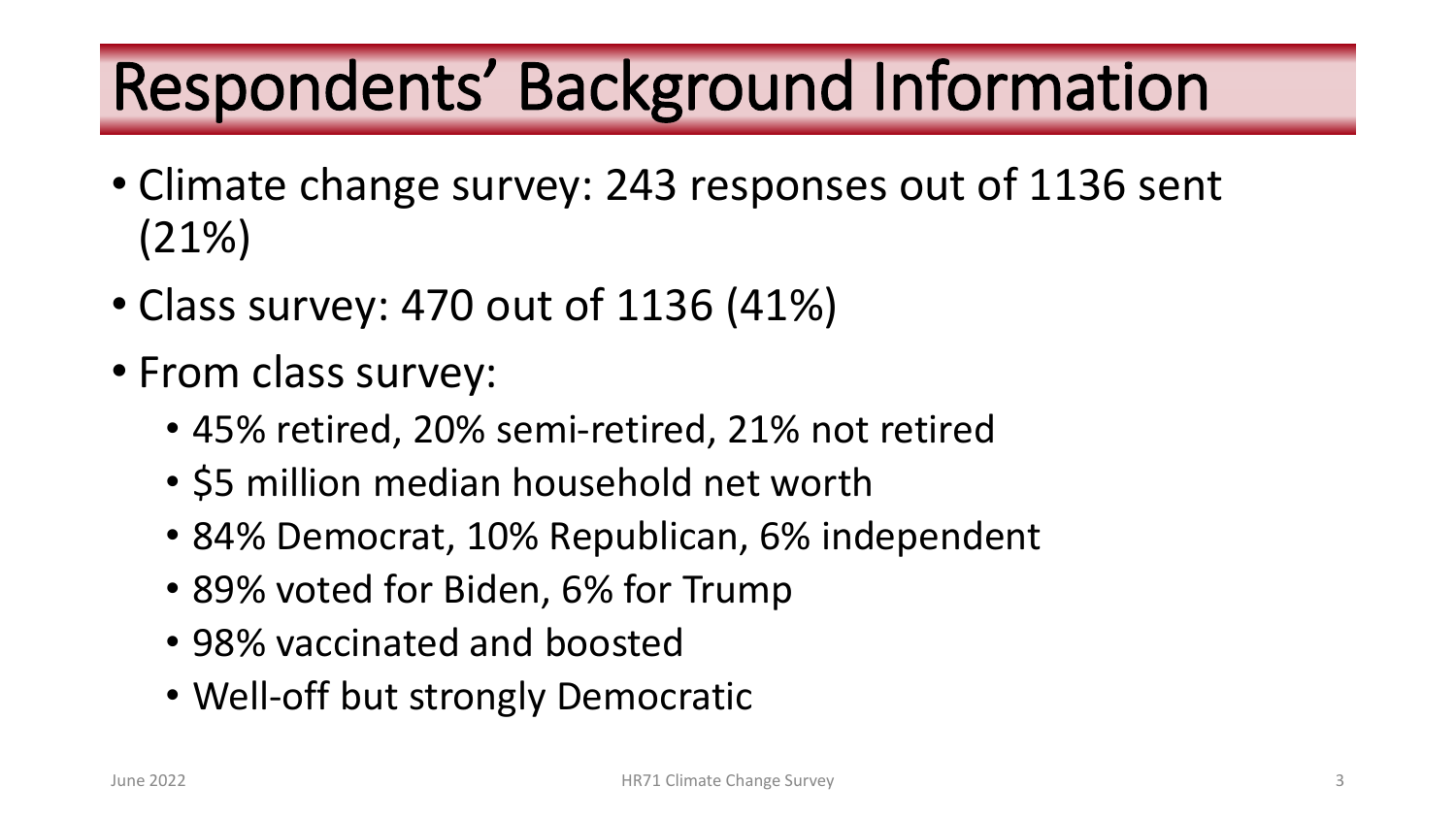# Respondents' Background Information

- Climate change survey: 243 responses out of 1136 sent (21%)
- Class survey: 470 out of 1136 (41%)
- From class survey:
	- 45% retired, 20% semi-retired, 21% not retired
	- \$5 million median household net worth
	- 84% Democrat, 10% Republican, 6% independent
	- 89% voted for Biden, 6% for Trump
	- 98% vaccinated and boosted
	- Well-off but strongly Democratic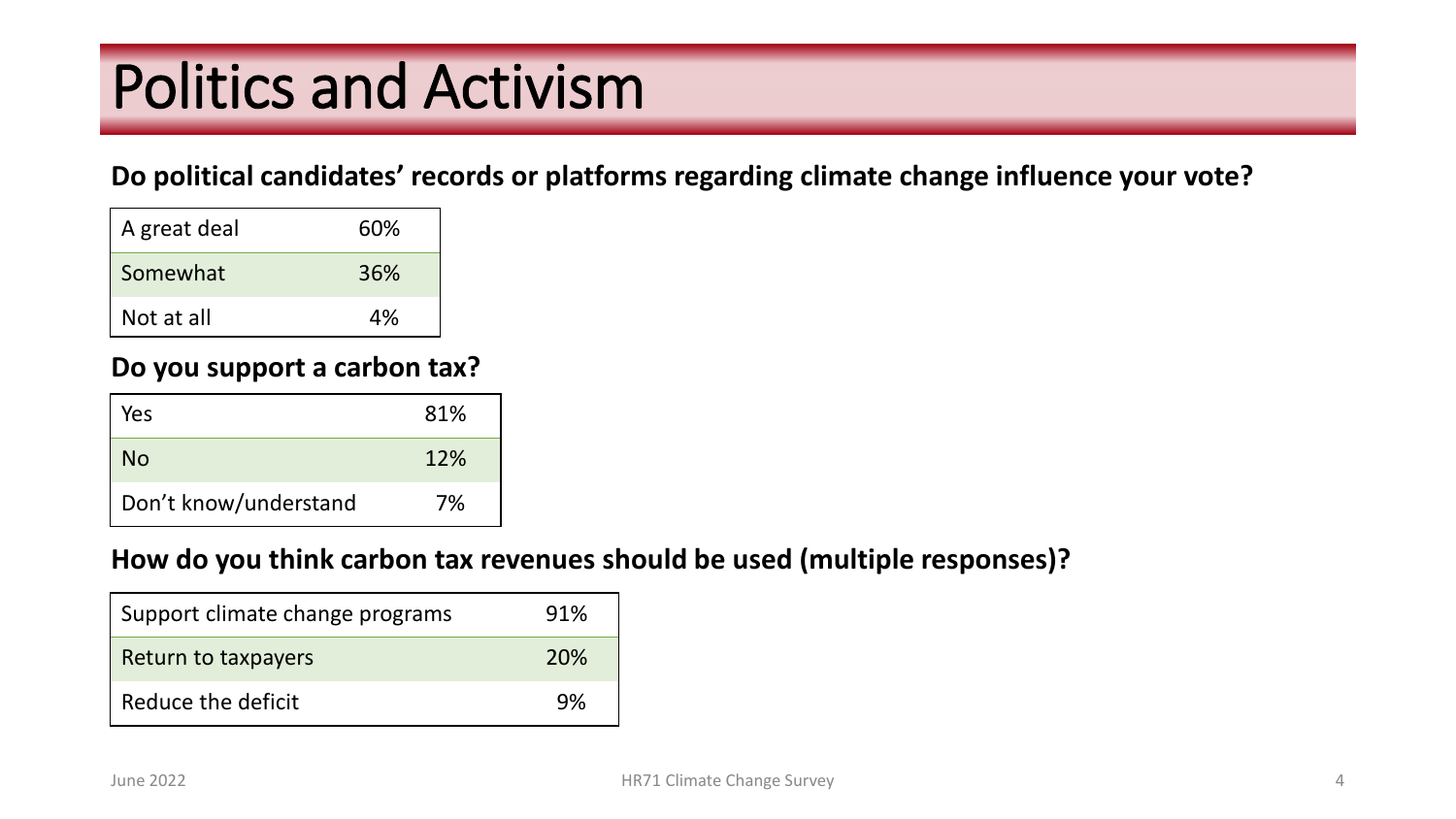# Politics and Activism

#### **Do political candidates' records or platforms regarding climate change influence your vote?**

| A great deal | 60% |
|--------------|-----|
| Somewhat     | 36% |
| Not at all   | 4%  |

#### **Do you support a carbon tax?**

| Yes                   | 81% |
|-----------------------|-----|
| No                    | 12% |
| Don't know/understand | 7%  |

#### **How do you think carbon tax revenues should be used (multiple responses)?**

| Support climate change programs | 91% |
|---------------------------------|-----|
| Return to taxpayers             | 20% |
| Reduce the deficit              | 9%  |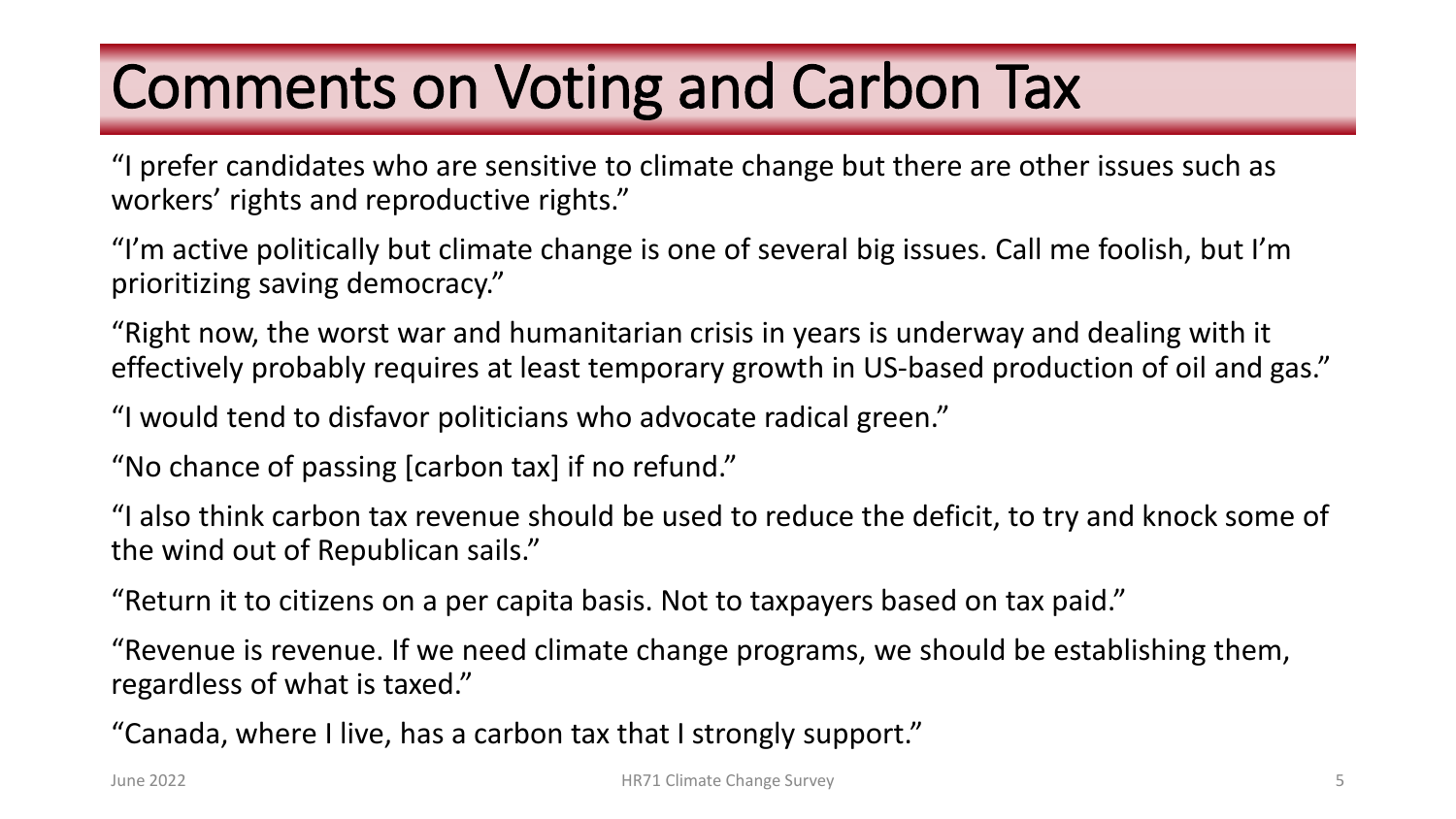# Comments on Voting and Carbon Tax

"I prefer candidates who are sensitive to climate change but there are other issues such as workers' rights and reproductive rights."

"I'm active politically but climate change is one of several big issues. Call me foolish, but I'm prioritizing saving democracy."

"Right now, the worst war and humanitarian crisis in years is underway and dealing with it effectively probably requires at least temporary growth in US-based production of oil and gas."

"I would tend to disfavor politicians who advocate radical green."

"No chance of passing [carbon tax] if no refund."

"I also think carbon tax revenue should be used to reduce the deficit, to try and knock some of the wind out of Republican sails."

"Return it to citizens on a per capita basis. Not to taxpayers based on tax paid."

"Revenue is revenue. If we need climate change programs, we should be establishing them, regardless of what is taxed."

"Canada, where I live, has a carbon tax that I strongly support."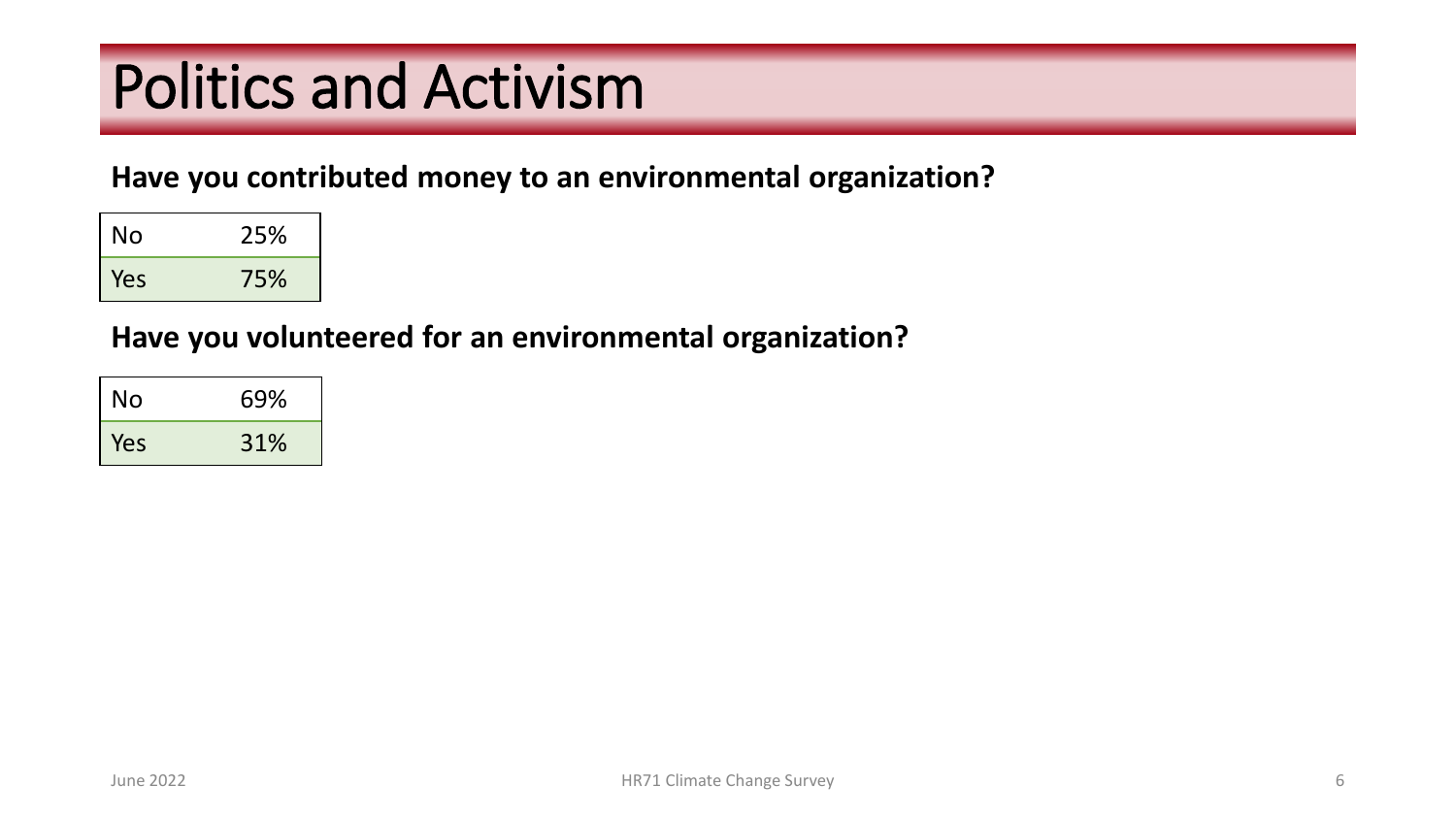# Politics and Activism

### **Have you contributed money to an environmental organization?**

| No  | 25% |
|-----|-----|
| Yes | 75% |

### **Have you volunteered for an environmental organization?**

| No  | 69% |
|-----|-----|
| Yes | 31% |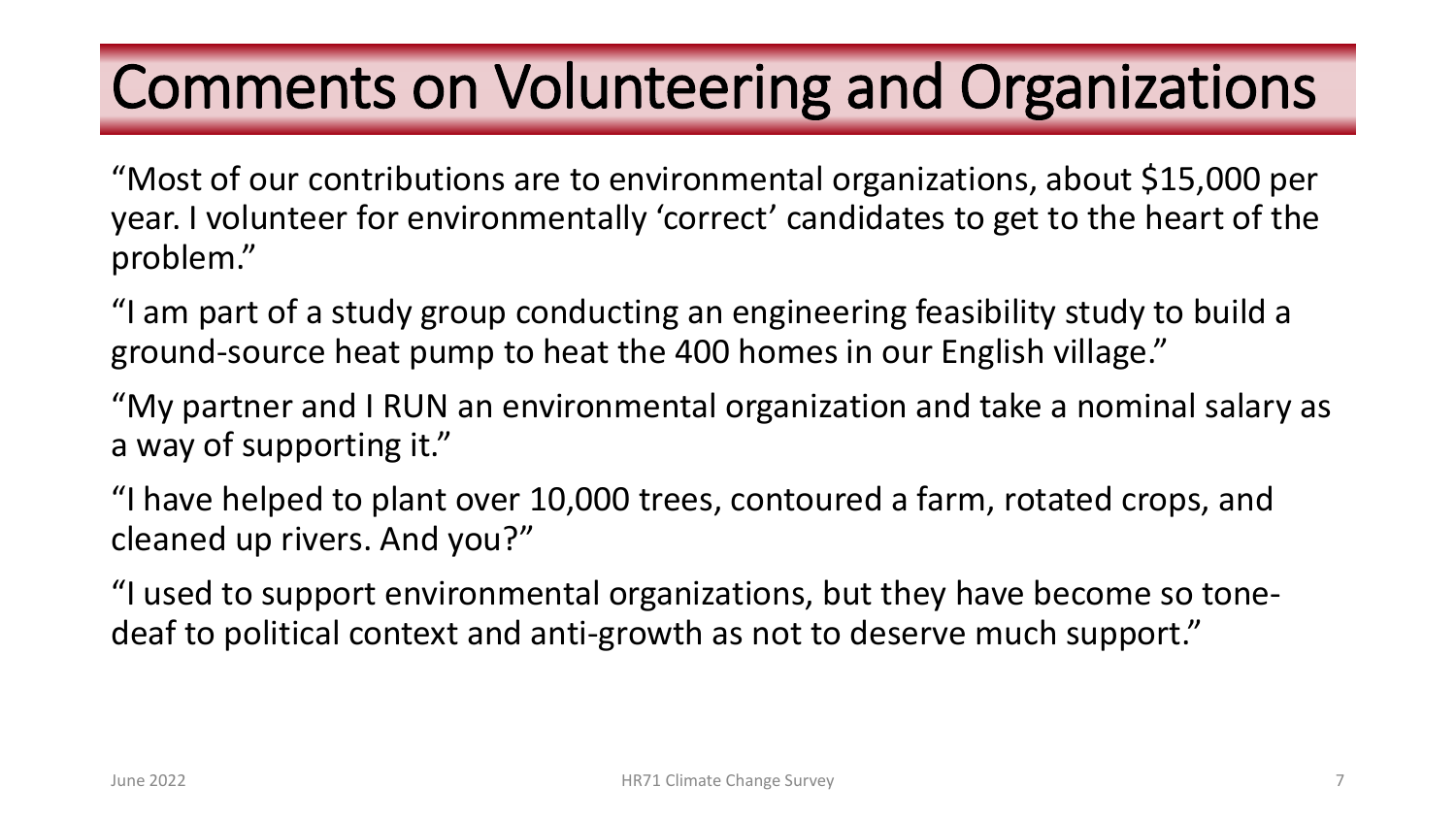### Comments on Volunteering and Organizations

"Most of our contributions are to environmental organizations, about \$15,000 per year. I volunteer for environmentally 'correct' candidates to get to the heart of the problem."

"I am part of a study group conducting an engineering feasibility study to build a ground-source heat pump to heat the 400 homes in our English village."

"My partner and I RUN an environmental organization and take a nominal salary as a way of supporting it."

"I have helped to plant over 10,000 trees, contoured a farm, rotated crops, and cleaned up rivers. And you?"

"I used to support environmental organizations, but they have become so tonedeaf to political context and anti-growth as not to deserve much support."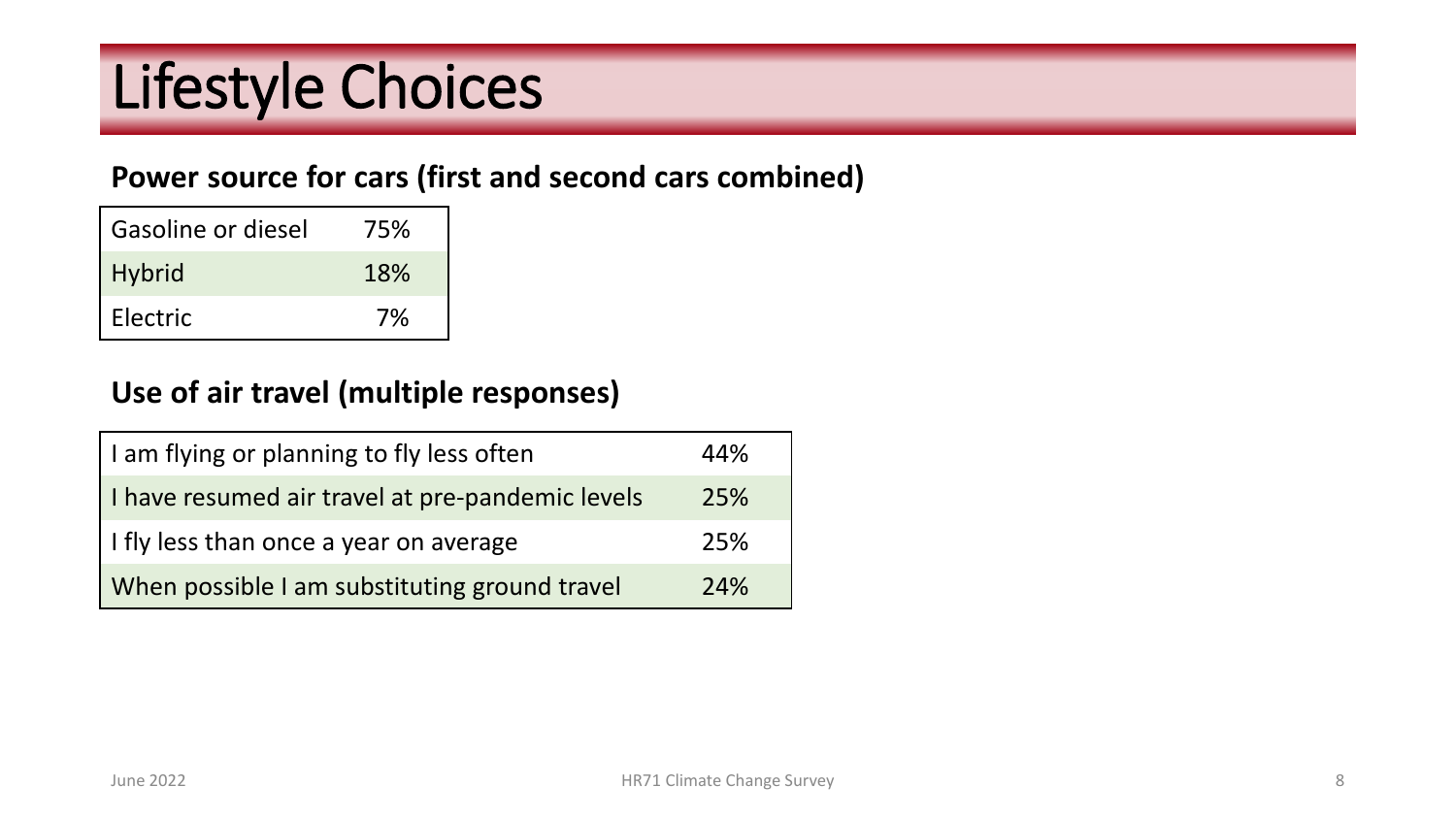# Lifestyle Choices

### **Power source for cars (first and second cars combined)**

| Gasoline or diesel | 75% |
|--------------------|-----|
| <b>Hybrid</b>      | 18% |
| Electric           | 7%  |

### **Use of air travel (multiple responses)**

| I am flying or planning to fly less often        | 44% |
|--------------------------------------------------|-----|
| I have resumed air travel at pre-pandemic levels | 25% |
| I fly less than once a year on average           | 25% |
| When possible I am substituting ground travel    | 24% |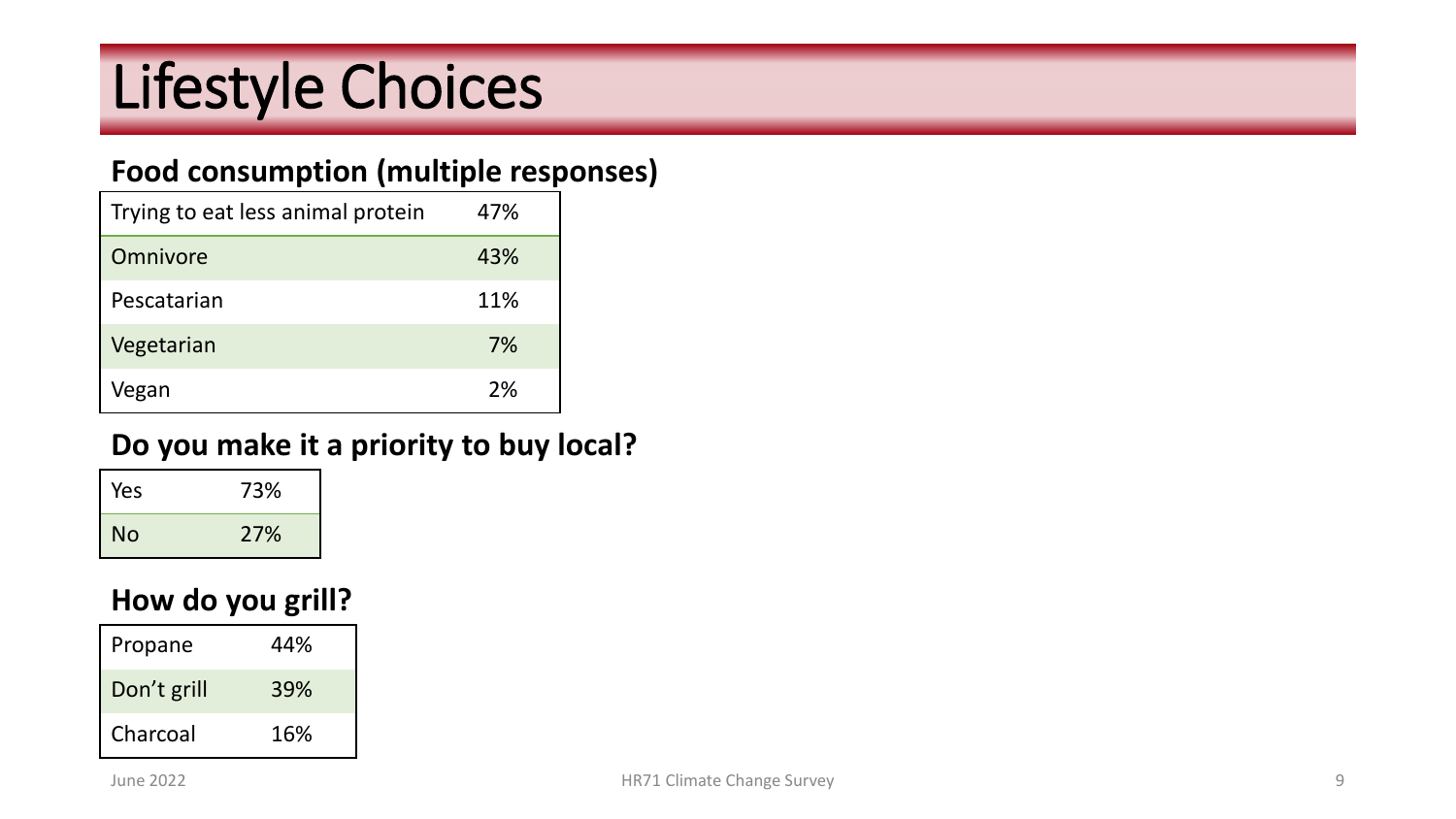# Lifestyle Choices

### **Food consumption (multiple responses)**

| Trying to eat less animal protein | 47% |
|-----------------------------------|-----|
| Omnivore                          | 43% |
| Pescatarian                       | 11% |
| Vegetarian                        | 7%  |
| /egan                             | 2%  |

### **Do you make it a priority to buy local?**

| Yes | 73% |
|-----|-----|
| No  | 27% |

### **How do you grill?**

| Propane     | 44% |
|-------------|-----|
| Don't grill | 39% |
| Charcoal    | 16% |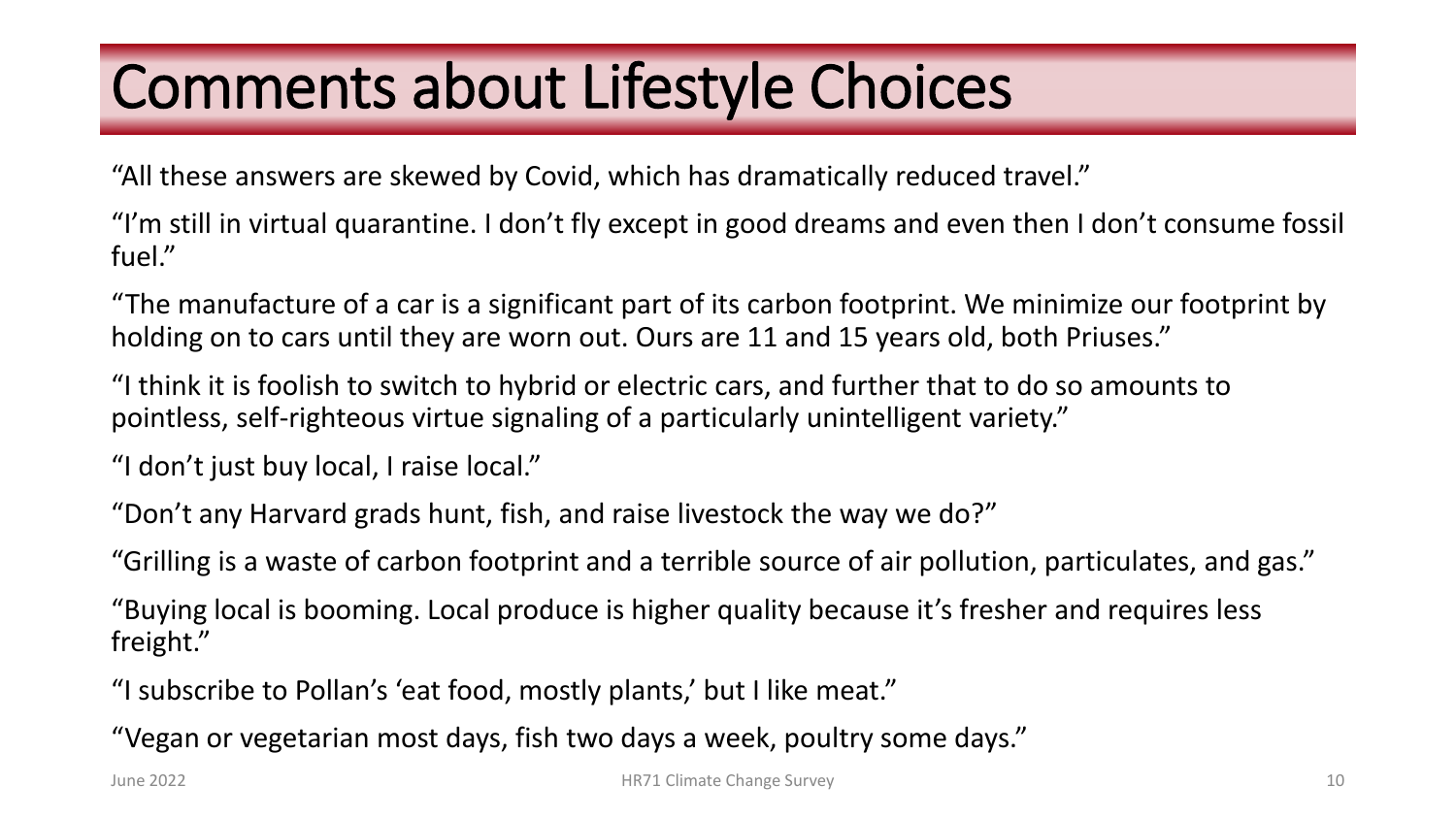# Comments about Lifestyle Choices

"All these answers are skewed by Covid, which has dramatically reduced travel."

"I'm still in virtual quarantine. I don't fly except in good dreams and even then I don't consume fossil fuel."

"The manufacture of a car is a significant part of its carbon footprint. We minimize our footprint by holding on to cars until they are worn out. Ours are 11 and 15 years old, both Priuses."

"I think it is foolish to switch to hybrid or electric cars, and further that to do so amounts to pointless, self-righteous virtue signaling of a particularly unintelligent variety."

"I don't just buy local, I raise local."

"Don't any Harvard grads hunt, fish, and raise livestock the way we do?"

"Grilling is a waste of carbon footprint and a terrible source of air pollution, particulates, and gas."

"Buying local is booming. Local produce is higher quality because it's fresher and requires less freight."

"I subscribe to Pollan's 'eat food, mostly plants,' but I like meat."

"Vegan or vegetarian most days, fish two days a week, poultry some days."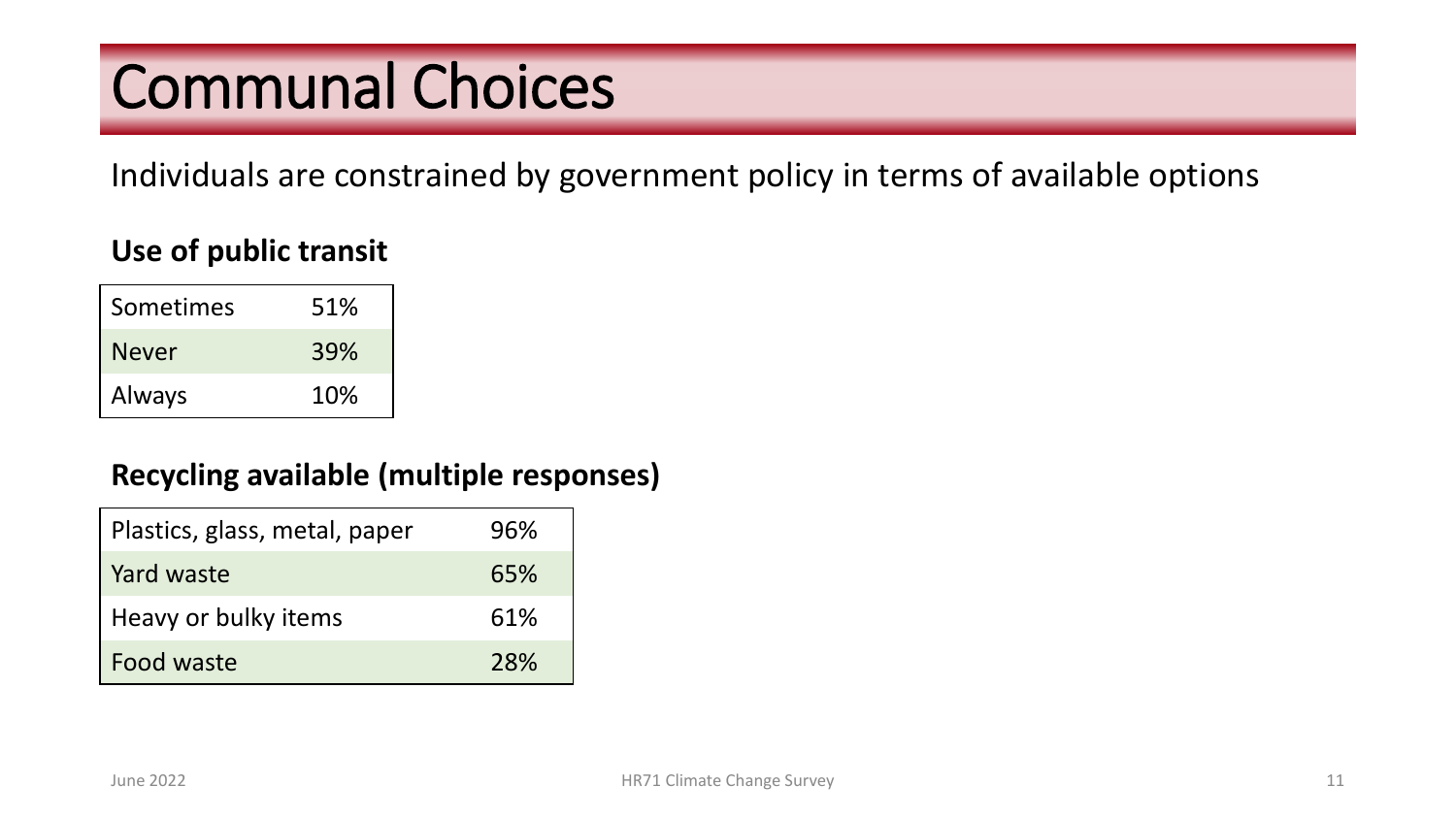### Communal Choices

Individuals are constrained by government policy in terms of available options

### **Use of public transit**

| Sometimes     | 51% |
|---------------|-----|
| <b>Never</b>  | 39% |
| <b>Always</b> | 10% |

### **Recycling available (multiple responses)**

| Plastics, glass, metal, paper | 96% |
|-------------------------------|-----|
| Yard waste                    | 65% |
| Heavy or bulky items          | 61% |
| Food waste                    | 28% |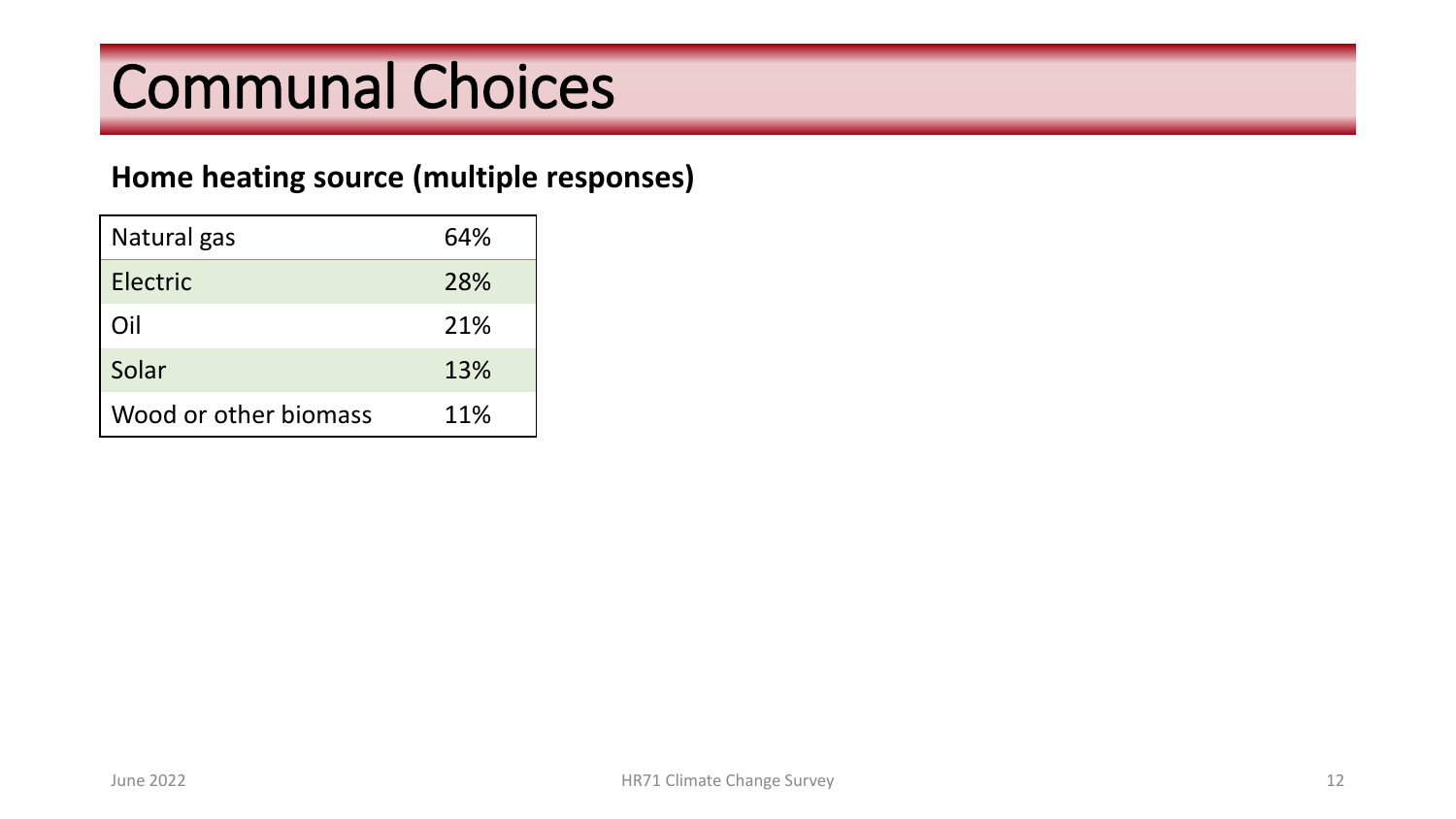# Communal Choices

### **Home heating source (multiple responses)**

| Natural gas           | 64% |
|-----------------------|-----|
| Electric              | 28% |
| Oil                   | 21% |
| Solar                 | 13% |
| Wood or other biomass | 11% |
|                       |     |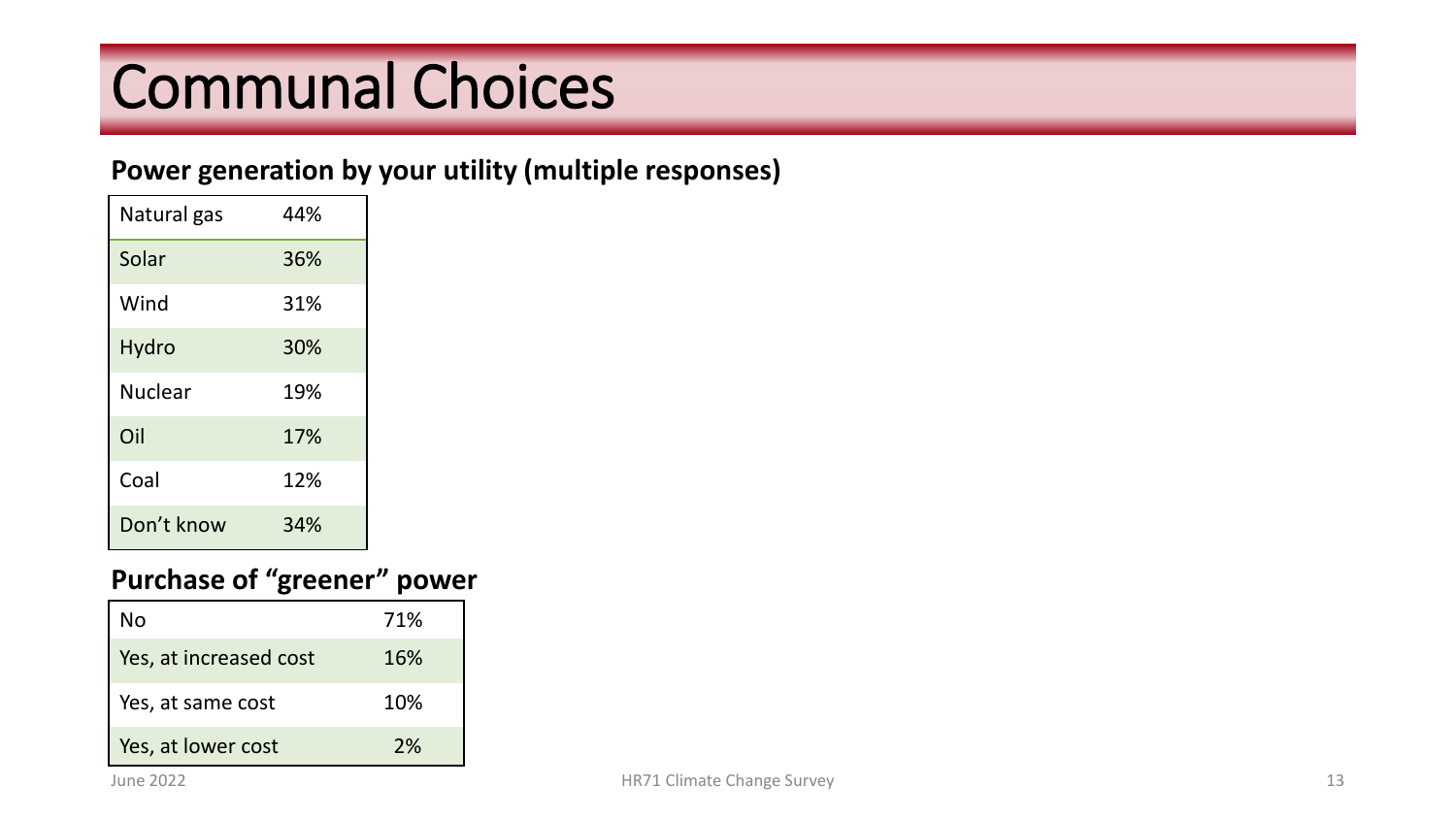# Communal Choices

#### **Power generation by your utility (multiple responses)**

| Natural gas    | 44% |
|----------------|-----|
| Solar          | 36% |
| Wind           | 31% |
| Hydro          | 30% |
| <b>Nuclear</b> | 19% |
| Oil            | 17% |
| Coal           | 12% |
| Don't know     | 34% |

#### **Purchase of "greener" power**

| No                     | 71% |
|------------------------|-----|
| Yes, at increased cost | 16% |
| Yes, at same cost      | 10% |
| Yes, at lower cost     | 2%  |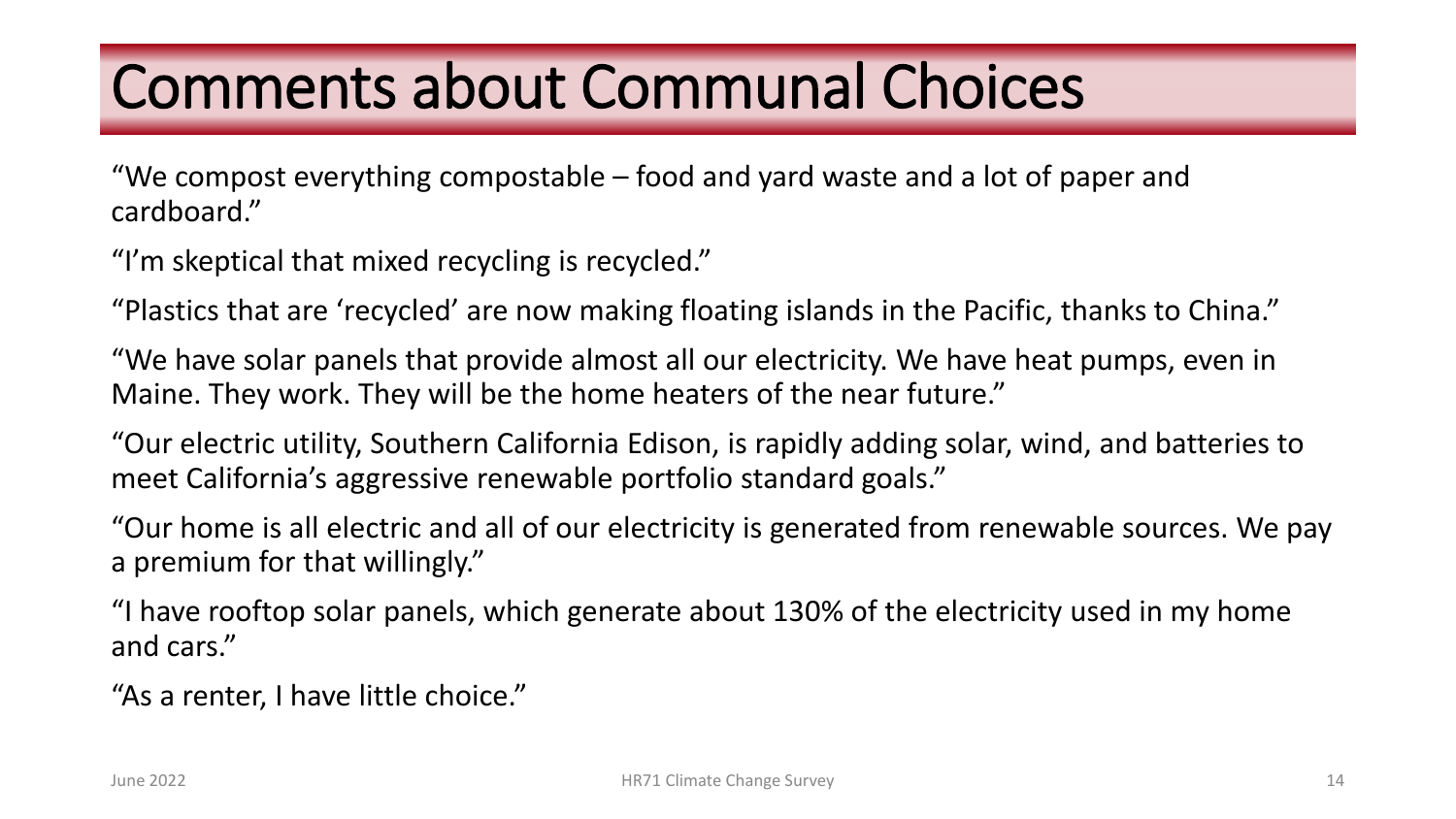### Comments about Communal Choices

"We compost everything compostable – food and yard waste and a lot of paper and cardboard."

"I'm skeptical that mixed recycling is recycled."

"Plastics that are 'recycled' are now making floating islands in the Pacific, thanks to China."

"We have solar panels that provide almost all our electricity. We have heat pumps, even in Maine. They work. They will be the home heaters of the near future."

"Our electric utility, Southern California Edison, is rapidly adding solar, wind, and batteries to meet California's aggressive renewable portfolio standard goals."

"Our home is all electric and all of our electricity is generated from renewable sources. We pay a premium for that willingly."

"I have rooftop solar panels, which generate about 130% of the electricity used in my home and cars."

"As a renter, I have little choice."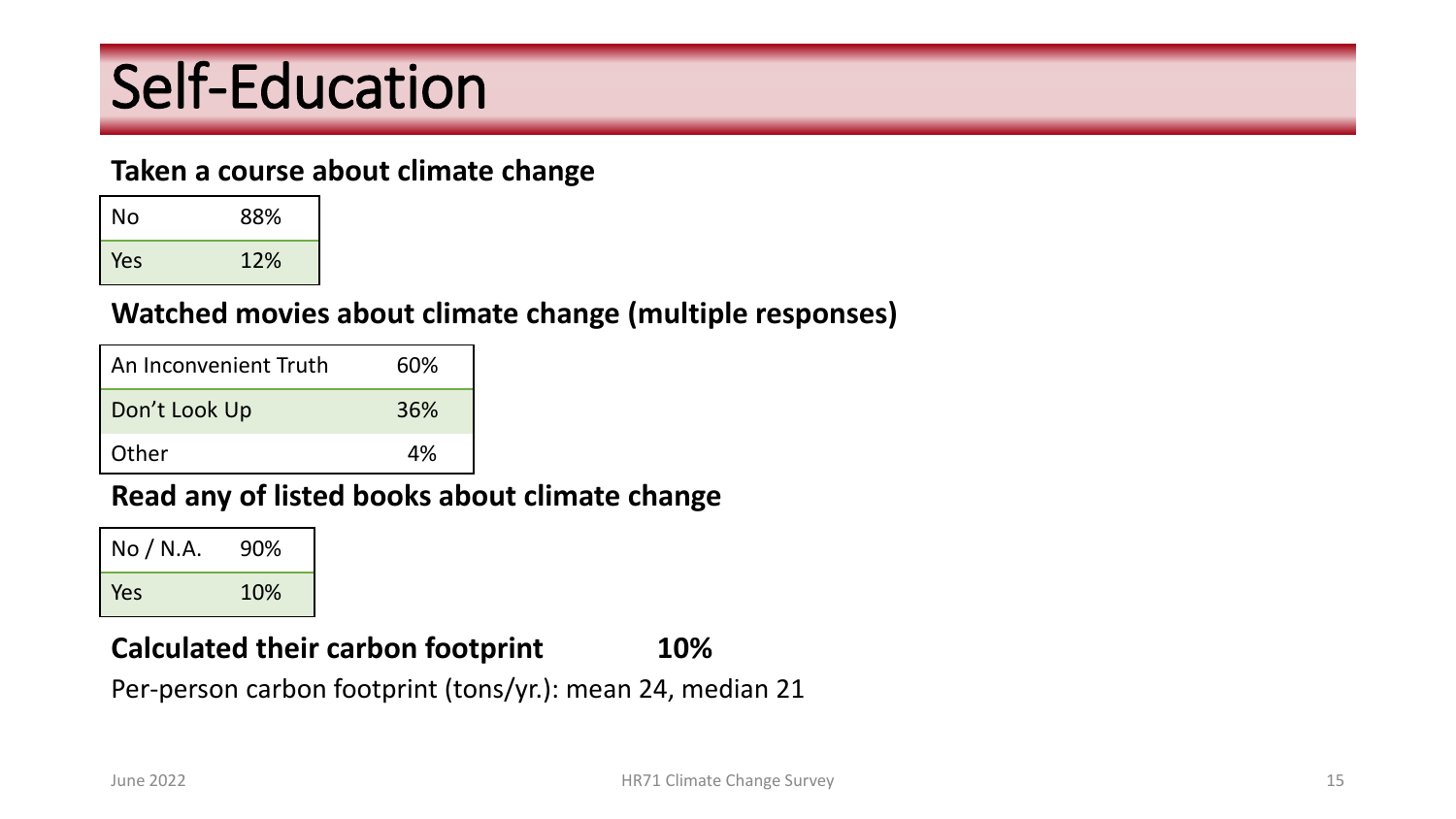# Self-Education

#### **Taken a course about climate change**

| <b>No</b> | 88% |
|-----------|-----|
| Yes       | 12% |

### **Watched movies about climate change (multiple responses)**

| An Inconvenient Truth | 60% |
|-----------------------|-----|
| Don't Look Up         | 36% |
| Other                 | 4%  |

### **Read any of listed books about climate change**

| No / N.A. | 90% |
|-----------|-----|
| Yes       | 10% |

### **Calculated their carbon footprint 10%**

Per-person carbon footprint (tons/yr.): mean 24, median 21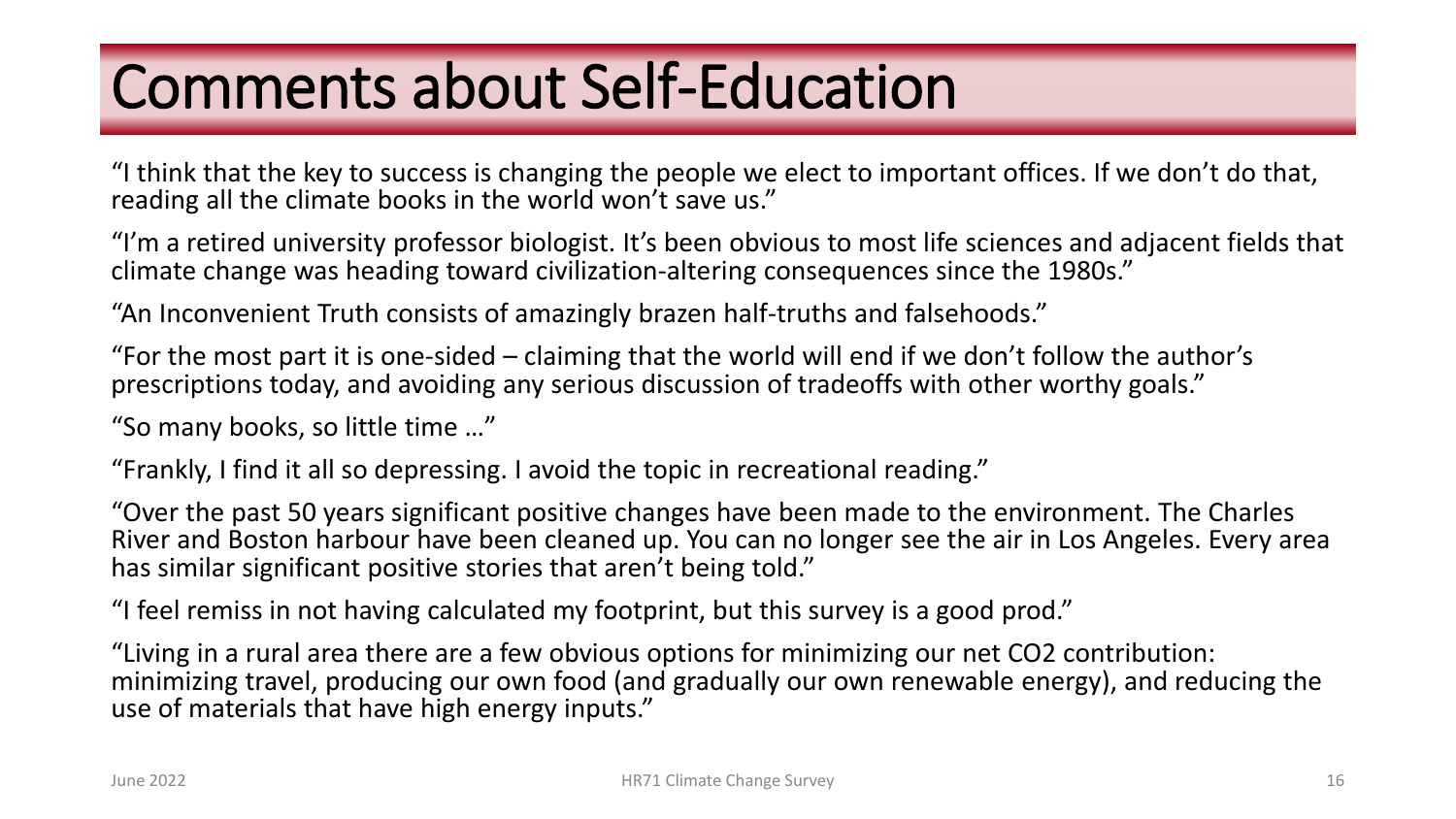# Comments about Self-Education

"I think that the key to success is changing the people we elect to important offices. If we don't do that, reading all the climate books in the world won't save us."

"I'm a retired university professor biologist. It's been obvious to most life sciences and adjacent fields that climate change was heading toward civilization-altering consequences since the 1980s."

"An Inconvenient Truth consists of amazingly brazen half-truths and falsehoods."

"For the most part it is one-sided – claiming that the world will end if we don't follow the author's prescriptions today, and avoiding any serious discussion of tradeoffs with other worthy goals."

"So many books, so little time …"

"Frankly, I find it all so depressing. I avoid the topic in recreational reading."

"Over the past 50 years significant positive changes have been made to the environment. The Charles River and Boston harbour have been cleaned up. You can no longer see the air in Los Angeles. Every area has similar significant positive stories that aren't being told."

"I feel remiss in not having calculated my footprint, but this survey is a good prod."

"Living in a rural area there are a few obvious options for minimizing our net CO2 contribution: minimizing travel, producing our own food (and gradually our own renewable energy), and reducing the use of materials that have high energy inputs."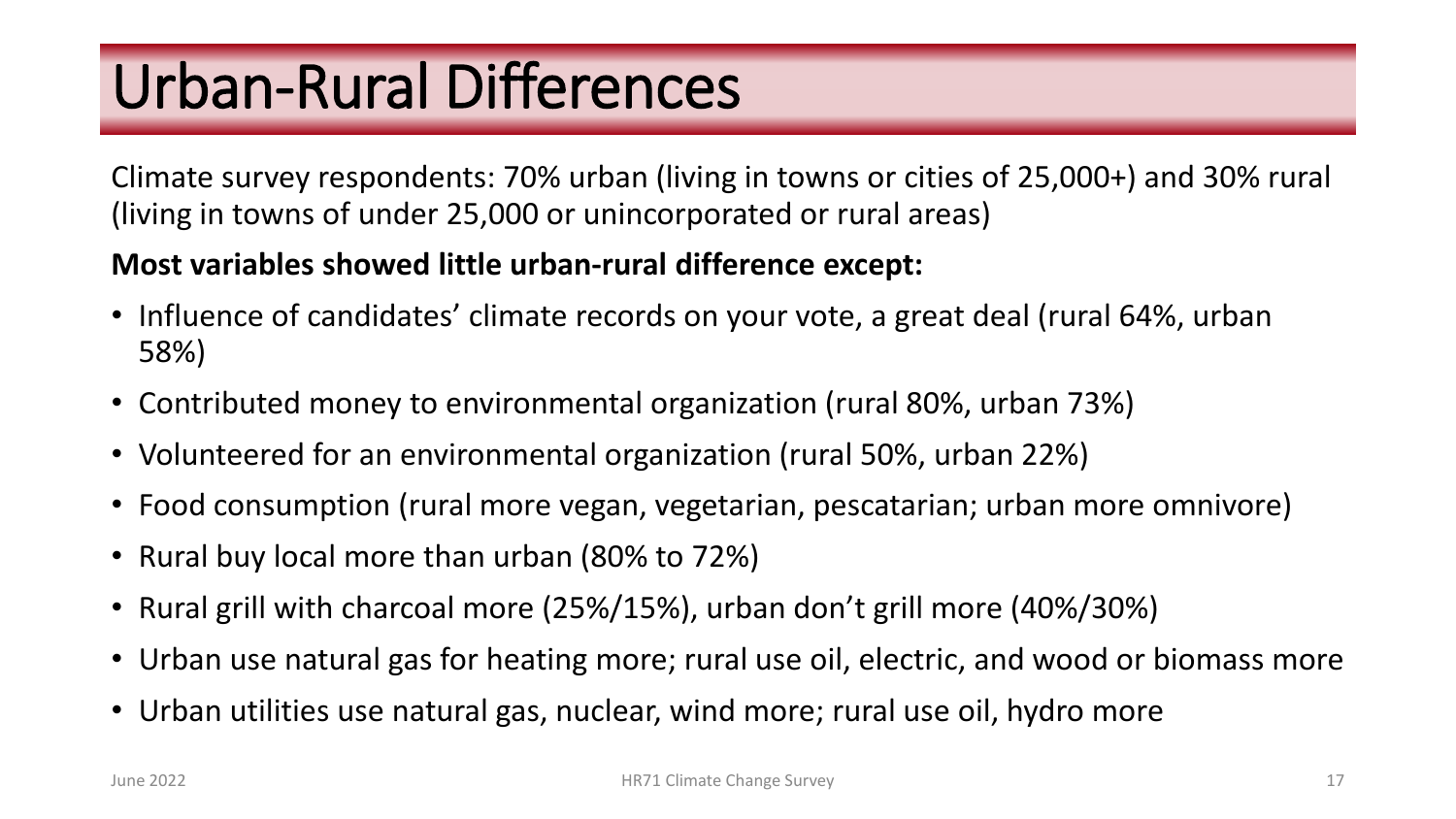# Urban-Rural Differences

Climate survey respondents: 70% urban (living in towns or cities of 25,000+) and 30% rural (living in towns of under 25,000 or unincorporated or rural areas)

### **Most variables showed little urban-rural difference except:**

- Influence of candidates' climate records on your vote, a great deal (rural 64%, urban 58%)
- Contributed money to environmental organization (rural 80%, urban 73%)
- Volunteered for an environmental organization (rural 50%, urban 22%)
- Food consumption (rural more vegan, vegetarian, pescatarian; urban more omnivore)
- Rural buy local more than urban (80% to 72%)
- Rural grill with charcoal more (25%/15%), urban don't grill more (40%/30%)
- Urban use natural gas for heating more; rural use oil, electric, and wood or biomass more
- Urban utilities use natural gas, nuclear, wind more; rural use oil, hydro more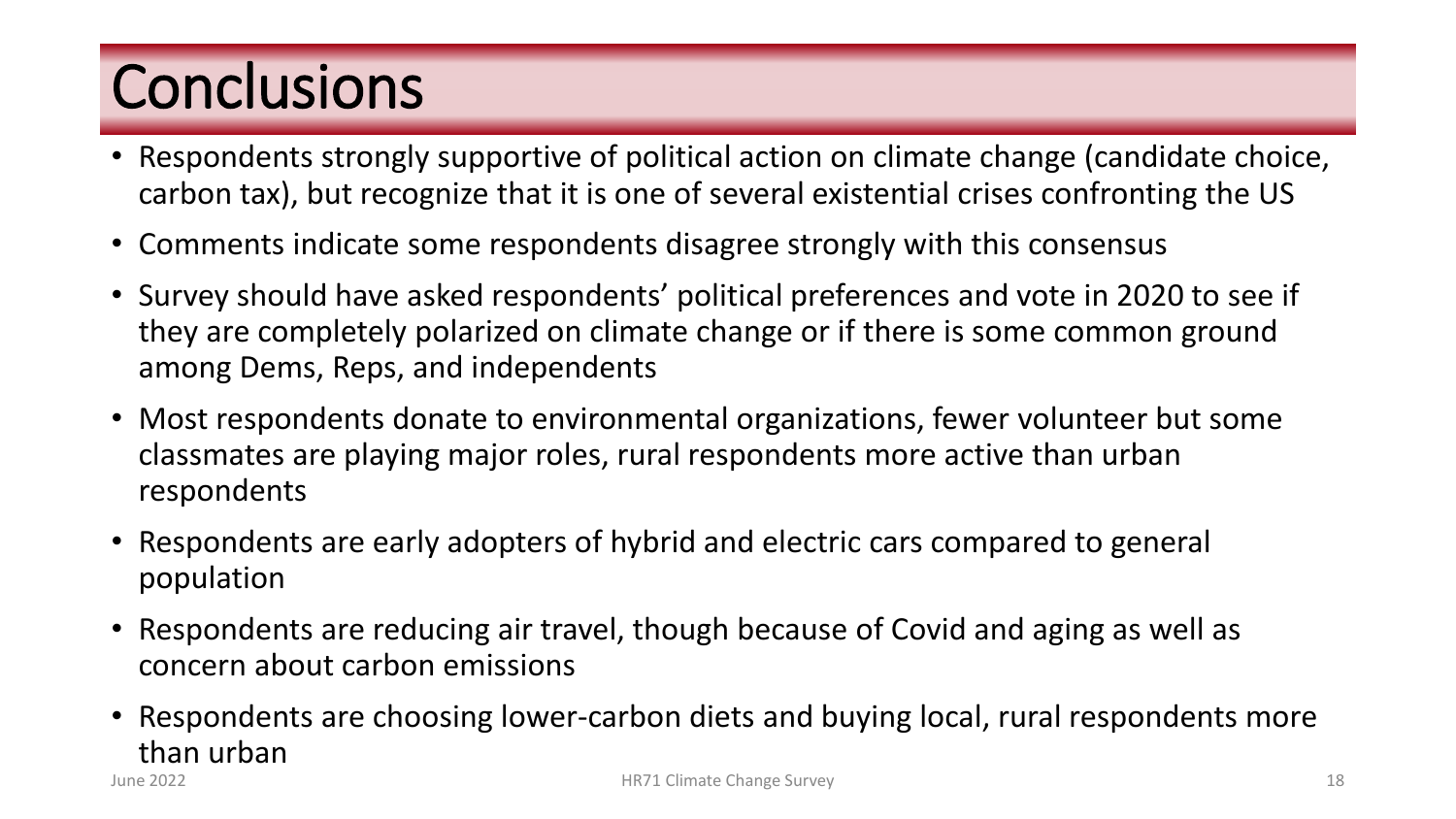# **Conclusions**

- Respondents strongly supportive of political action on climate change (candidate choice, carbon tax), but recognize that it is one of several existential crises confronting the US
- Comments indicate some respondents disagree strongly with this consensus
- Survey should have asked respondents' political preferences and vote in 2020 to see if they are completely polarized on climate change or if there is some common ground among Dems, Reps, and independents
- Most respondents donate to environmental organizations, fewer volunteer but some classmates are playing major roles, rural respondents more active than urban respondents
- Respondents are early adopters of hybrid and electric cars compared to general population
- Respondents are reducing air travel, though because of Covid and aging as well as concern about carbon emissions
- Respondents are choosing lower-carbon diets and buying local, rural respondents more than urban